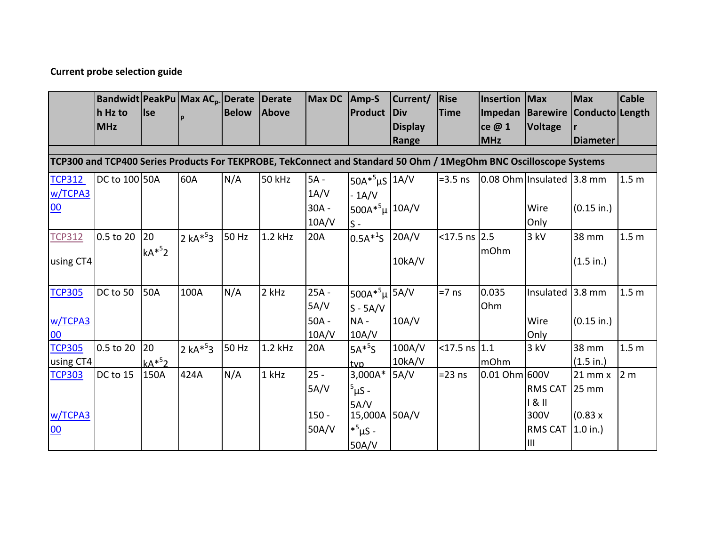## **Current probe selection guide**

|                                                                                                                   | Bandwidt PeakPu Max AC <sub>p</sub> Derate Derate |         |           |              |              | <b>Max DC</b> | $Amp-S$                   | Current/       | <b>Rise</b>        | <b>Insertion</b> | Max                       | <b>Max</b>                       | <b>Cable</b>     |
|-------------------------------------------------------------------------------------------------------------------|---------------------------------------------------|---------|-----------|--------------|--------------|---------------|---------------------------|----------------|--------------------|------------------|---------------------------|----------------------------------|------------------|
|                                                                                                                   | h Hz to                                           | Ise     |           | <b>Below</b> | <b>Above</b> |               | <b>Product Div</b>        |                | <b>Time</b>        |                  |                           | Impedan Barewire Conducto Length |                  |
|                                                                                                                   | <b>MHz</b>                                        |         |           |              |              |               |                           | <b>Display</b> |                    | ce @ 1           | <b>Voltage</b>            |                                  |                  |
|                                                                                                                   |                                                   |         |           |              |              |               |                           | Range          |                    | <b>MHz</b>       |                           | <b>Diameter</b>                  |                  |
| TCP300 and TCP400 Series Products For TEKPROBE, TekConnect and Standard 50 Ohm / 1MegOhm BNC Oscilloscope Systems |                                                   |         |           |              |              |               |                           |                |                    |                  |                           |                                  |                  |
|                                                                                                                   |                                                   |         |           |              |              |               |                           |                |                    |                  |                           |                                  |                  |
| <b>TCP312</b>                                                                                                     | DC to 100 50A                                     |         | 60A       | N/A          | 50 kHz       | $5A -$        | $50A*^5\mu S$ 1A/V        |                | $=3.5$ ns          |                  | 0.08 Ohm Insulated 3.8 mm |                                  | 1.5 <sub>m</sub> |
| w/TCPA3                                                                                                           |                                                   |         |           |              |              | 1A/V          | $-1A/V$                   |                |                    |                  |                           |                                  |                  |
| 00                                                                                                                |                                                   |         |           |              |              | $30A -$       | 500A* $5\mu$ 10A/V        |                |                    |                  | Wire                      | $(0.15$ in.)                     |                  |
|                                                                                                                   |                                                   |         |           |              |              | 10A/V         | $S -$                     |                |                    |                  | Only                      |                                  |                  |
| <b>TCP312</b>                                                                                                     | 0.5 to 20                                         | 20      | $2 kA*53$ | 50 Hz        | $1.2$ kHz    | 20A           | $0.5A^{*1}S$ 20A/V        |                | $<$ 17.5 ns 2.5    |                  | 3 kV                      | 38 mm                            | 1.5 <sub>m</sub> |
|                                                                                                                   |                                                   | $kA*52$ |           |              |              |               |                           |                |                    | mOhm             |                           |                                  |                  |
| using CT4                                                                                                         |                                                   |         |           |              |              |               |                           | 10kA/V         |                    |                  |                           | (1.5 in.)                        |                  |
|                                                                                                                   |                                                   |         |           |              |              |               |                           |                |                    |                  |                           |                                  |                  |
| <b>TCP305</b>                                                                                                     | DC to 50                                          | 50A     | 100A      | N/A          | 2 kHz        | 25A -         | 500A* <sup>5</sup> µ 5A/V |                | $=7$ ns            | 0.035            | Insulated                 | 3.8 mm                           | 1.5 <sub>m</sub> |
|                                                                                                                   |                                                   |         |           |              |              | 5A/V          | $S - 5A/V$                |                |                    | Ohm              |                           |                                  |                  |
| w/TCPA3                                                                                                           |                                                   |         |           |              |              | $50A -$       | $NA -$                    | 10A/V          |                    |                  | Wire                      | $(0.15$ in.)                     |                  |
| 00                                                                                                                |                                                   |         |           |              |              | 10A/V         | 10A/V                     |                |                    |                  | Only                      |                                  |                  |
| <b>TCP305</b>                                                                                                     | 0.5 to 20                                         | 20      | 2 $kA*53$ | 50 Hz        | $1.2$ kHz    | 20A           | $5A*5S$                   | 100A/V         | $<$ 17.5 ns $ 1.1$ |                  | 3 kV                      | 38 mm                            | 1.5 <sub>m</sub> |
| using $CT4$                                                                                                       |                                                   | $kA*^5$ |           |              |              |               | tvp                       | 10kA/V         |                    | mOhm             |                           | (1.5 in.)                        |                  |
| <b>TCP303</b>                                                                                                     | DC to 15                                          | 150A    | 424A      | N/A          | 1 kHz        | $25 -$        | $3,000A*$                 | SA/V           | $= 23$ ns          | 0.01 Ohm 600V    |                           | $21$ mm $x$                      | 2 <sub>m</sub>   |
|                                                                                                                   |                                                   |         |           |              |              | 5A/V          | $5$ µS -                  |                |                    |                  | <b>RMS CAT</b>            | 25 mm                            |                  |
|                                                                                                                   |                                                   |         |           |              |              |               | 5A/V                      |                |                    |                  | 181                       |                                  |                  |
| w/TCPA3                                                                                                           |                                                   |         |           |              |              | $150 -$       | 15,000A 50A/V             |                |                    |                  | 300V                      | (0.83 x)                         |                  |
| 00                                                                                                                |                                                   |         |           |              |              | 50A/V         | $*^{5} \mu S -$           |                |                    |                  | RMS CAT                   | $1.0$ in.)                       |                  |
|                                                                                                                   |                                                   |         |           |              |              |               | 50A/V                     |                |                    |                  | Ш                         |                                  |                  |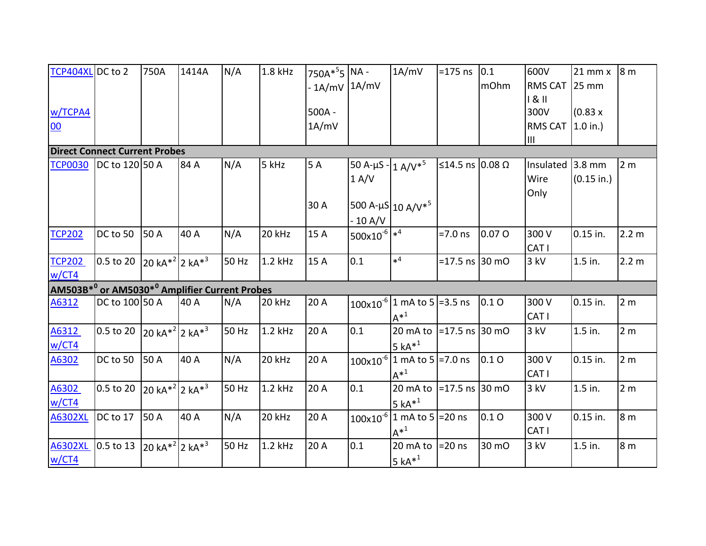| TCP404XL DC to 2                     |                                                                       | 750A                            | 1414A | N/A   | 1.8 kHz   | 750A* <sup>5</sup> 5 NA -<br>$-1A/mV$ 1A/mV |                               | 1A/mV                                                       | $= 175$ ns       | 0.1<br>mOhm | 600V<br><b>RMS CAT</b><br>181 | $21$ mm $x$<br>25 mm     | 8m             |
|--------------------------------------|-----------------------------------------------------------------------|---------------------------------|-------|-------|-----------|---------------------------------------------|-------------------------------|-------------------------------------------------------------|------------------|-------------|-------------------------------|--------------------------|----------------|
| w/TCPA4<br>00                        |                                                                       |                                 |       |       |           | $500A -$<br>1A/mV                           |                               |                                                             |                  |             | 300V<br><b>RMS CAT</b>        | (0.83 x)<br>$1.0$ in.)   |                |
|                                      |                                                                       |                                 |       |       |           |                                             |                               |                                                             |                  |             | ШL                            |                          |                |
| <b>Direct Connect Current Probes</b> |                                                                       |                                 |       |       |           |                                             |                               |                                                             |                  |             |                               |                          |                |
| <b>TCP0030</b>                       | DC to 120 50 A                                                        |                                 | 84 A  | N/A   | 5 kHz     | 5 A                                         | 50 A-µS - $1 A/V*^5$<br>1 A/V |                                                             | ≤14.5 ns 0.08 Ω  |             | Insulated<br>Wire             | $3.8$ mm<br>$(0.15$ in.) | 2 <sub>m</sub> |
|                                      |                                                                       |                                 |       |       |           | 30 A                                        | $-10 A/V$                     | 500 A- $\mu$ S 10 A/V <sup>*5</sup>                         |                  |             | Only                          |                          |                |
| <b>TCP202</b>                        | DC to 50                                                              | 50 A                            | 40 A  | N/A   | 20 kHz    | 15 A                                        | $500x10^{-6}$                 |                                                             | $=7.0$ ns        | 0.07 O      | 300 V<br>CAT I                | 0.15 in.                 | 2.2 m          |
| <b>TCP202</b><br>w/CT4               | 0.5 to 20 $20 kA^{*2}$ 2 kA <sup>*3</sup>                             |                                 |       | 50 Hz | $1.2$ kHz | 15 A                                        | 0.1                           | $\ast^4$                                                    | =17.5 ns 30 mO   |             | 3 kV                          | 1.5 in.                  | 2.2 m          |
|                                      | AM503B <sup>*0</sup> or AM5030 <sup>*0</sup> Amplifier Current Probes |                                 |       |       |           |                                             |                               |                                                             |                  |             |                               |                          |                |
| A6312                                | DC to 100 50 A                                                        |                                 | 40 A  | N/A   | 20 kHz    | 20 A                                        |                               | $100\times10^{-6}$ 1 mA to 5 = 3.5 ns<br>$A^*$ <sup>1</sup> |                  | 0.1O        | 300 V<br>CAT I                | 0.15 in.                 | 2 <sub>m</sub> |
| A6312<br>W/CT4                       | 0.5 to 20 $20 kA^{*2}$ 2 kA <sup>*3</sup>                             |                                 |       | 50 Hz | 1.2 kHz   | 20 A                                        | 0.1                           | 20 mA to $\vert$ =17.5 ns 30 mO<br>5 $kA*^1$                |                  |             | 3 kV                          | 1.5 in.                  | 2 <sub>m</sub> |
| A6302                                | DC to 50                                                              | 50 A                            | 40 A  | N/A   | 20 kHz    | 20 A                                        |                               | $100x10^{-6}$ 1 mA to 5 = 7.0 ns<br>$A^{*1}$                |                  | 0.1O        | 300 V<br>CAT I                | 0.15 in.                 | 2 <sub>m</sub> |
| A6302<br>W/CT4                       | 0.5 to 20                                                             | $20 kA^{*2}$ 2 kA <sup>*3</sup> |       | 50 Hz | 1.2 kHz   | 20A                                         | 0.1                           | 20 mA to<br>5 $kA*^1$                                       | $=17.5$ ns 30 mO |             | 3 kV                          | 1.5 in.                  | 2 <sub>m</sub> |
| <b>A6302XL</b>                       | DC to 17                                                              | 50 A                            | 40 A  | N/A   | 20 kHz    | 20 A                                        |                               | $100x10^{-6}$ 1 mA to 5 = 20 ns<br>$A^*$ <sup>1</sup>       |                  | 0.1O        | 300 V<br>CAT I                | 0.15 in.                 | 8 <sub>m</sub> |
| A6302XL<br>W/CT4                     | 0.5 to 13 20 kA <sup>*2</sup> 2 kA <sup>*3</sup>                      |                                 |       | 50 Hz | 1.2 kHz   | 20 A                                        | 0.1                           | 20 mA to<br>$5 kA*1$                                        | $=20$ ns         | 30 mO       | 3 kV                          | 1.5 in.                  | 8 <sub>m</sub> |